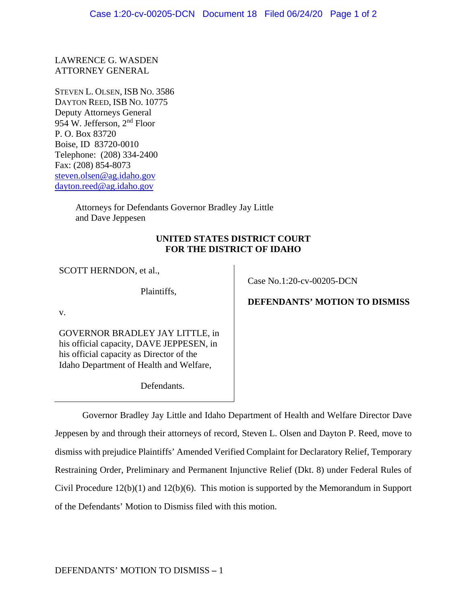LAWRENCE G. WASDEN ATTORNEY GENERAL

STEVEN L. OLSEN, ISB NO. 3586 DAYTON REED, ISB NO. 10775 Deputy Attorneys General 954 W. Jefferson, 2nd Floor P. O. Box 83720 Boise, ID 83720-0010 Telephone: (208) 334-2400 Fax: (208) 854-8073 steven.olsen@ag.idaho.gov dayton.reed@ag.idaho.gov

> Attorneys for Defendants Governor Bradley Jay Little and Dave Jeppesen

## **UNITED STATES DISTRICT COURT FOR THE DISTRICT OF IDAHO**

SCOTT HERNDON, et al.,

Plaintiffs,

Case No.1:20-cv-00205-DCN

v.

GOVERNOR BRADLEY JAY LITTLE, in his official capacity, DAVE JEPPESEN, in his official capacity as Director of the Idaho Department of Health and Welfare,

Defendants.

**DEFENDANTS' MOTION TO DISMISS**

Governor Bradley Jay Little and Idaho Department of Health and Welfare Director Dave Jeppesen by and through their attorneys of record, Steven L. Olsen and Dayton P. Reed, move to dismiss with prejudice Plaintiffs' Amended Verified Complaint for Declaratory Relief, Temporary Restraining Order, Preliminary and Permanent Injunctive Relief (Dkt. 8) under Federal Rules of Civil Procedure 12(b)(1) and 12(b)(6). This motion is supported by the Memorandum in Support of the Defendants' Motion to Dismiss filed with this motion.